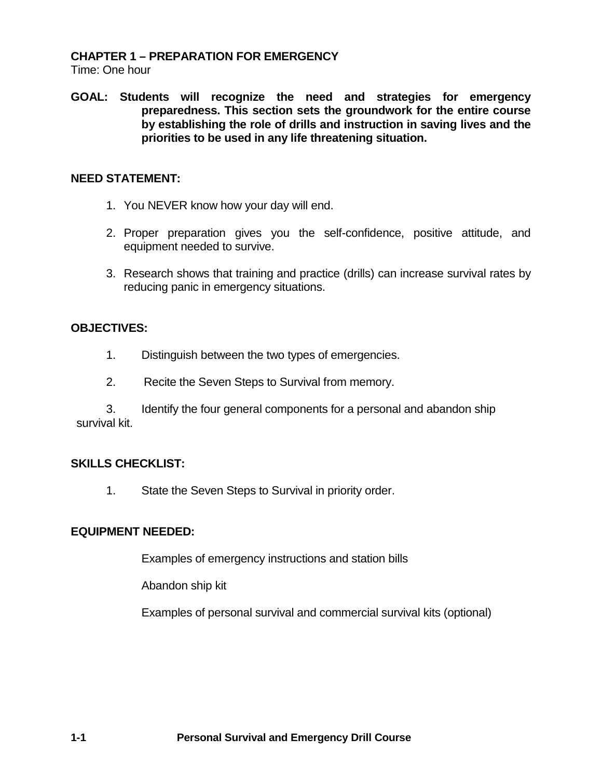#### **CHAPTER 1 – PREPARATION FOR EMERGENCY**

Time: One hour

**GOAL: Students will recognize the need and strategies for emergency preparedness. This section sets the groundwork for the entire course by establishing the role of drills and instruction in saving lives and the priorities to be used in any life threatening situation.**

#### **NEED STATEMENT:**

- 1. You NEVER know how your day will end.
- 2. Proper preparation gives you the self-confidence, positive attitude, and equipment needed to survive.
- 3. Research shows that training and practice (drills) can increase survival rates by reducing panic in emergency situations.

## **OBJECTIVES:**

- 1. Distinguish between the two types of emergencies.
- 2. Recite the Seven Steps to Survival from memory.

3. Identify the four general components for a personal and abandon ship survival kit.

## **SKILLS CHECKLIST:**

1. State the Seven Steps to Survival in priority order.

## **EQUIPMENT NEEDED:**

Examples of emergency instructions and station bills

Abandon ship kit

Examples of personal survival and commercial survival kits (optional)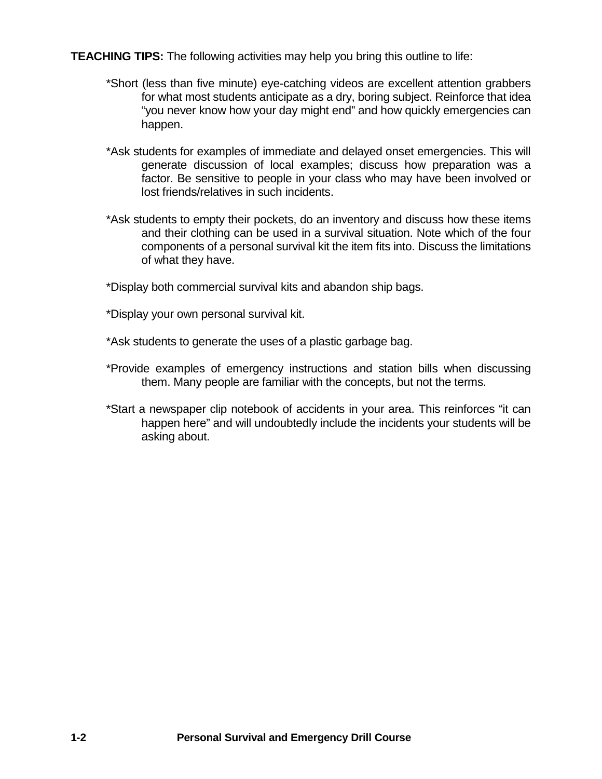**TEACHING TIPS:** The following activities may help you bring this outline to life:

- \*Short (less than five minute) eye-catching videos are excellent attention grabbers for what most students anticipate as a dry, boring subject. Reinforce that idea "you never know how your day might end" and how quickly emergencies can happen.
- \*Ask students for examples of immediate and delayed onset emergencies. This will generate discussion of local examples; discuss how preparation was a factor. Be sensitive to people in your class who may have been involved or lost friends/relatives in such incidents.
- \*Ask students to empty their pockets, do an inventory and discuss how these items and their clothing can be used in a survival situation. Note which of the four components of a personal survival kit the item fits into. Discuss the limitations of what they have.
- \*Display both commercial survival kits and abandon ship bags.
- \*Display your own personal survival kit.
- \*Ask students to generate the uses of a plastic garbage bag.
- \*Provide examples of emergency instructions and station bills when discussing them. Many people are familiar with the concepts, but not the terms.
- \*Start a newspaper clip notebook of accidents in your area. This reinforces "it can happen here" and will undoubtedly include the incidents your students will be asking about.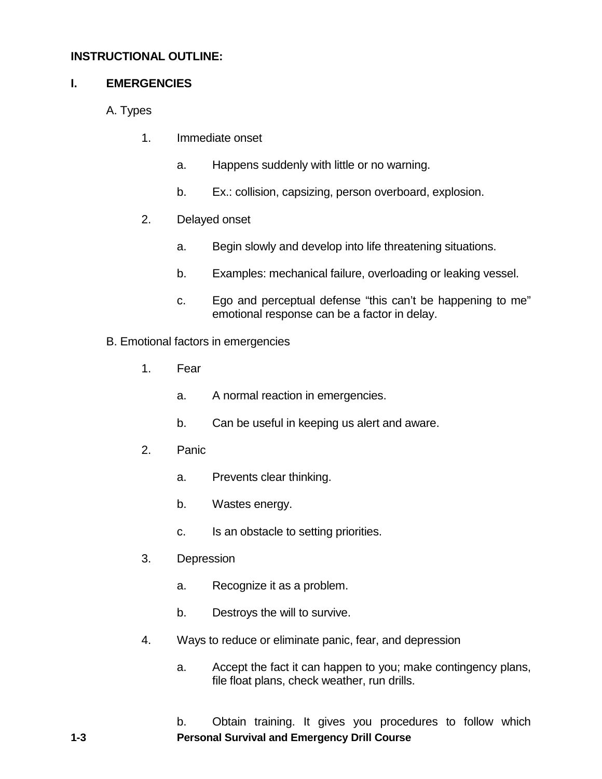## **INSTRUCTIONAL OUTLINE:**

## **I. EMERGENCIES**

- A. Types
	- 1. Immediate onset
		- a. Happens suddenly with little or no warning.
		- b. Ex.: collision, capsizing, person overboard, explosion.
	- 2. Delayed onset
		- a. Begin slowly and develop into life threatening situations.
		- b. Examples: mechanical failure, overloading or leaking vessel.
		- c. Ego and perceptual defense "this can't be happening to me" emotional response can be a factor in delay.
- B. Emotional factors in emergencies
	- 1. Fear
		- a. A normal reaction in emergencies.
		- b. Can be useful in keeping us alert and aware.
	- 2. Panic
		- a. Prevents clear thinking.
		- b. Wastes energy.
		- c. Is an obstacle to setting priorities.
	- 3. Depression
		- a. Recognize it as a problem.
		- b. Destroys the will to survive.
	- 4. Ways to reduce or eliminate panic, fear, and depression
		- a. Accept the fact it can happen to you; make contingency plans, file float plans, check weather, run drills.

**1-3 Personal Survival and Emergency Drill Course**  b. Obtain training. It gives you procedures to follow which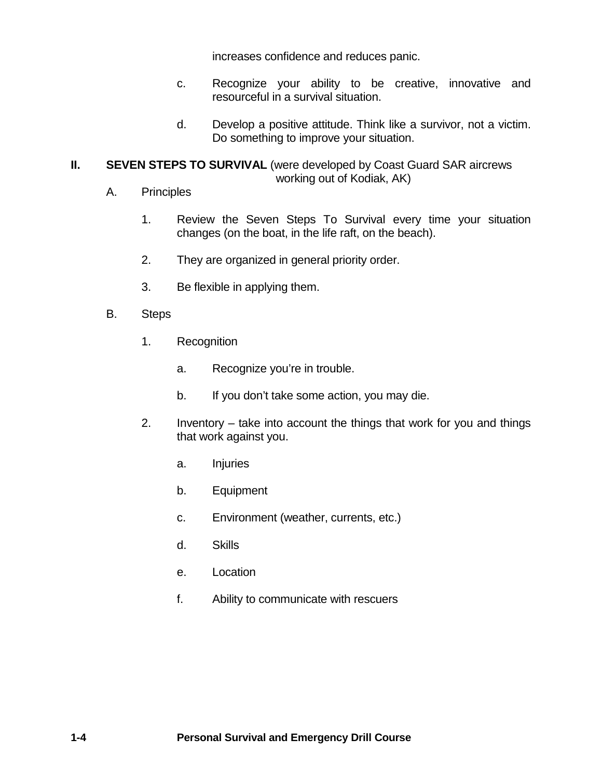increases confidence and reduces panic.

- c. Recognize your ability to be creative, innovative and resourceful in a survival situation.
- d. Develop a positive attitude. Think like a survivor, not a victim. Do something to improve your situation.

## **II. SEVEN STEPS TO SURVIVAL** (were developed by Coast Guard SAR aircrews working out of Kodiak, AK)

- A. Principles
	- 1. Review the Seven Steps To Survival every time your situation changes (on the boat, in the life raft, on the beach).
	- 2. They are organized in general priority order.
	- 3. Be flexible in applying them.
- B. Steps
	- 1. Recognition
		- a. Recognize you're in trouble.
		- b. If you don't take some action, you may die.
	- 2. Inventory take into account the things that work for you and things that work against you.
		- a. Injuries
		- b. Equipment
		- c. Environment (weather, currents, etc.)
		- d. Skills
		- e. Location
		- f. Ability to communicate with rescuers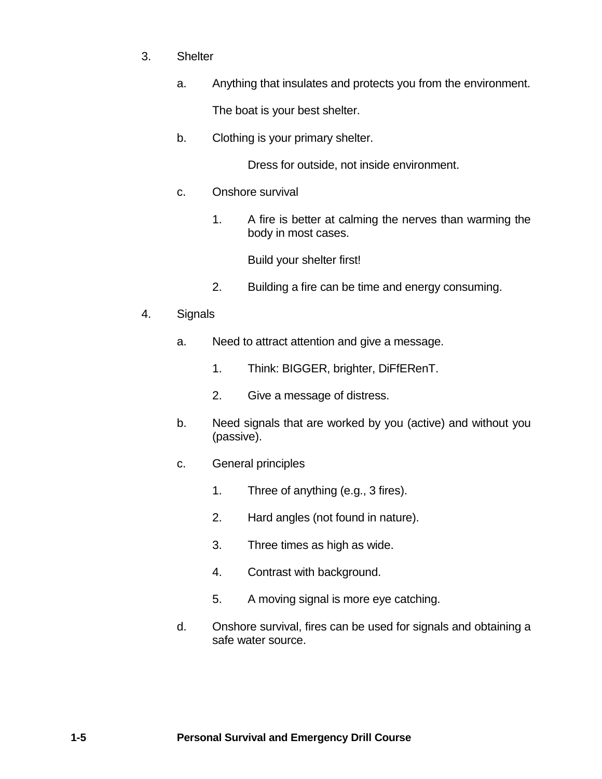- 3. Shelter
	- a. Anything that insulates and protects you from the environment.

The boat is your best shelter.

b. Clothing is your primary shelter.

Dress for outside, not inside environment.

- c. Onshore survival
	- 1. A fire is better at calming the nerves than warming the body in most cases.

Build your shelter first!

2. Building a fire can be time and energy consuming.

#### 4. Signals

- a. Need to attract attention and give a message.
	- 1. Think: BIGGER, brighter, DiFfERenT.
	- 2. Give a message of distress.
- b. Need signals that are worked by you (active) and without you (passive).
- c. General principles
	- 1. Three of anything (e.g., 3 fires).
	- 2. Hard angles (not found in nature).
	- 3. Three times as high as wide.
	- 4. Contrast with background.
	- 5. A moving signal is more eye catching.
- d. Onshore survival, fires can be used for signals and obtaining a safe water source.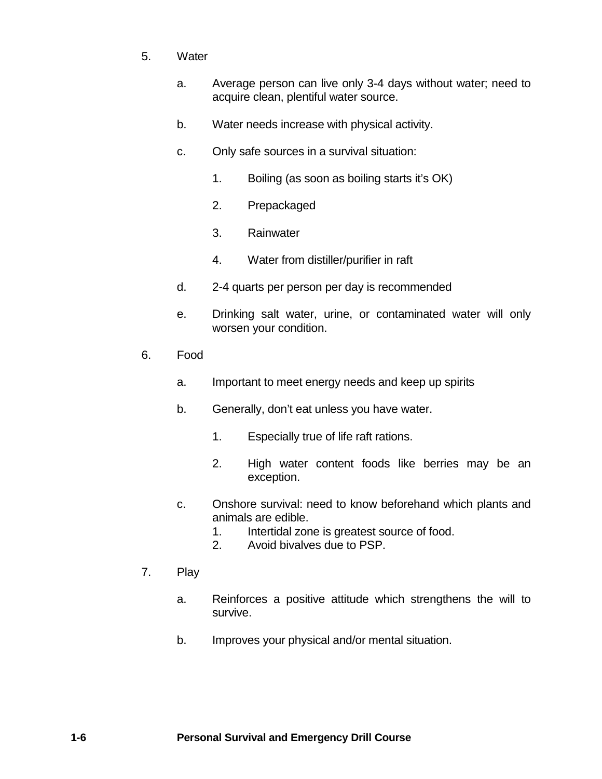- 5. Water
	- a. Average person can live only 3-4 days without water; need to acquire clean, plentiful water source.
	- b. Water needs increase with physical activity.
	- c. Only safe sources in a survival situation:
		- 1. Boiling (as soon as boiling starts it's OK)
		- 2. Prepackaged
		- 3. Rainwater
		- 4. Water from distiller/purifier in raft
	- d. 2-4 quarts per person per day is recommended
	- e. Drinking salt water, urine, or contaminated water will only worsen your condition.
- 6. Food
	- a. Important to meet energy needs and keep up spirits
	- b. Generally, don't eat unless you have water.
		- 1. Especially true of life raft rations.
		- 2. High water content foods like berries may be an exception.
	- c. Onshore survival: need to know beforehand which plants and animals are edible.
		- 1. Intertidal zone is greatest source of food.
		- 2. Avoid bivalves due to PSP.
- 7. Play
	- a. Reinforces a positive attitude which strengthens the will to survive.
	- b. Improves your physical and/or mental situation.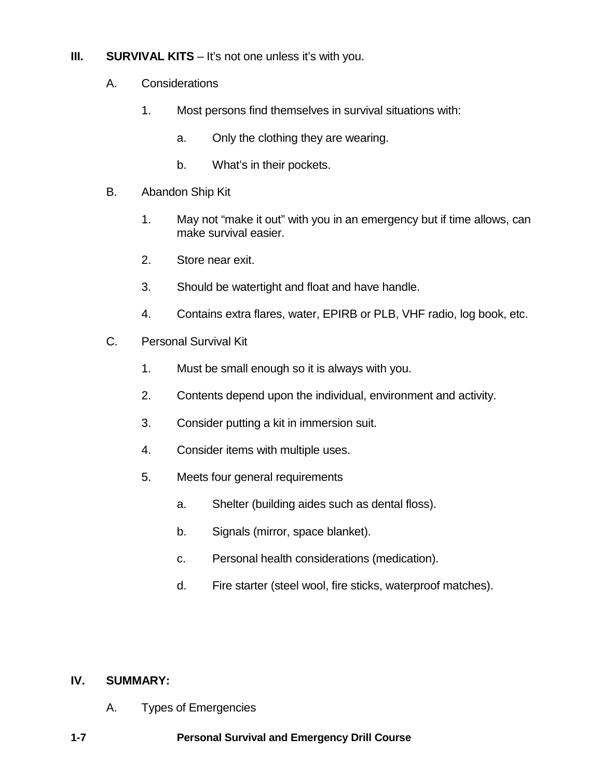## **III. SURVIVAL KITS** – It's not one unless it's with you.

- A. Considerations
	- 1. Most persons find themselves in survival situations with:
		- a. Only the clothing they are wearing.
		- b. What's in their pockets.
- B. Abandon Ship Kit
	- 1. May not "make it out" with you in an emergency but if time allows, can make survival easier.
	- 2. Store near exit.
	- 3. Should be watertight and float and have handle.
	- 4. Contains extra flares, water, EPIRB or PLB, VHF radio, log book, etc.
- C. Personal Survival Kit
	- 1. Must be small enough so it is always with you.
	- 2. Contents depend upon the individual, environment and activity.
	- 3. Consider putting a kit in immersion suit.
	- 4. Consider items with multiple uses.
	- 5. Meets four general requirements
		- a. Shelter (building aides such as dental floss).
		- b. Signals (mirror, space blanket).
		- c. Personal health considerations (medication).
		- d. Fire starter (steel wool, fire sticks, waterproof matches).

# **IV. SUMMARY:**

- A. Types of Emergencies
- **1-7 Personal Survival and Emergency Drill Course**
-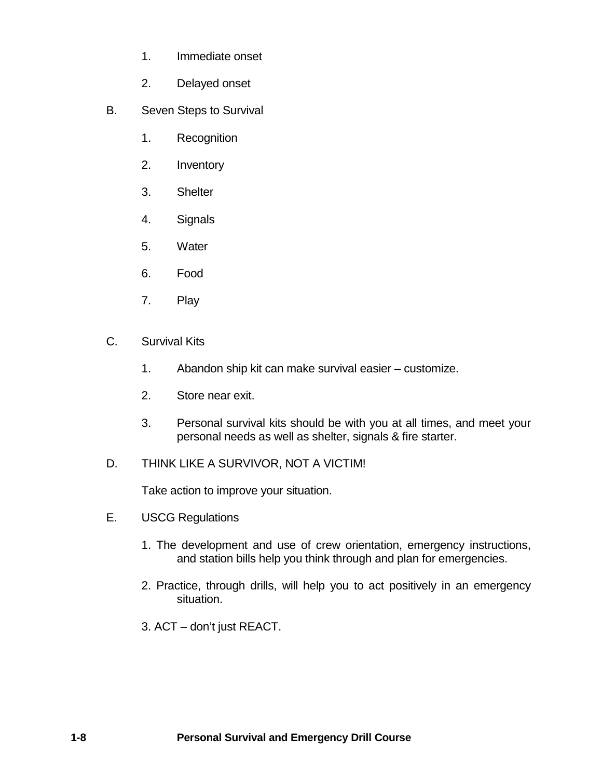- 1. Immediate onset
- 2. Delayed onset
- B. Seven Steps to Survival
	- 1. Recognition
	- 2. Inventory
	- 3. Shelter
	- 4. Signals
	- 5. Water
	- 6. Food
	- 7. Play
- C. Survival Kits
	- 1. Abandon ship kit can make survival easier customize.
	- 2. Store near exit.
	- 3. Personal survival kits should be with you at all times, and meet your personal needs as well as shelter, signals & fire starter.
- D. THINK LIKE A SURVIVOR, NOT A VICTIM!

Take action to improve your situation.

- E. USCG Regulations
	- 1. The development and use of crew orientation, emergency instructions, and station bills help you think through and plan for emergencies.
	- 2. Practice, through drills, will help you to act positively in an emergency situation.
	- 3. ACT don't just REACT.